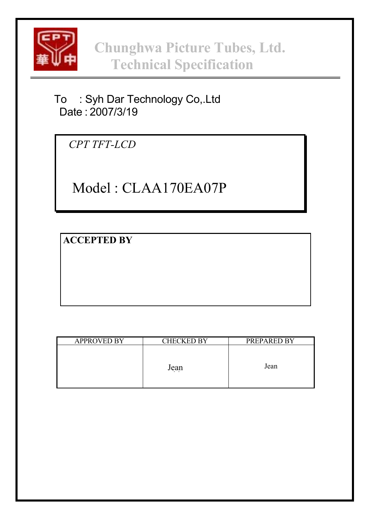

**Chunghwa Picture Tubes, Ltd. Technical Specification**

To : Syh Dar Technology Co,.Ltd Date : 2007/3/19

*CPT TFT-LCD*

Model : CLAA170EA07P

**ACCEPTED BY**

| <b>APPROVED BY</b> | <b>CHECKED BY</b> | PREPARED BY |
|--------------------|-------------------|-------------|
|                    | Jean              | Jean        |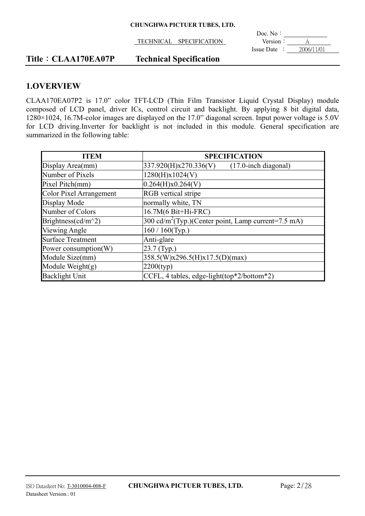|                                   | Doc. No:                      |
|-----------------------------------|-------------------------------|
| TECHNICAL<br><b>SPECIFICATION</b> | Version:                      |
|                                   | 2006/11/01<br>$I$ ssue Date : |

# **Title**: **CLAA170EA07P** Technical Specification

## **1.OVERVIEW**

CLAA170EA07P2 is 17.0" color TFT-LCD (Thin Film Transistor Liquid Crystal Display) module composed of LCD panel, driver ICs, control circuit and backlight. By applying 8 bit digital data, 1280×1024, 16.7M-color images are displayed on the 17.0" diagonal screen. Input power voltage is 5.0V for LCD driving.Inverter for backlight is not included in this module. General specification are summarized in the following table:

| <b>ITEM</b>                    | <b>SPECIFICATION</b>                                            |  |  |  |
|--------------------------------|-----------------------------------------------------------------|--|--|--|
| Display Area(mm)               | 337.920(H)x270.336(V)<br>$(17.0$ -inch diagonal)                |  |  |  |
| Number of Pixels               | 1280(H)x1024(V)                                                 |  |  |  |
| Pixel Pitch(mm)                | 0.264(H)x0.264(V)                                               |  |  |  |
| <b>Color Pixel Arrangement</b> | RGB vertical stripe                                             |  |  |  |
| Display Mode                   | normally white, TN                                              |  |  |  |
| Number of Colors               | 16.7M(6 Bit+Hi-FRC)                                             |  |  |  |
| Brightness(cd/m^2)             | 300 cd/m <sup>2</sup> (Typ.)(Center point, Lamp current=7.5 mA) |  |  |  |
| Viewing Angle                  | $160 / 160$ (Typ.)                                              |  |  |  |
| <b>Surface Treatment</b>       | Anti-glare                                                      |  |  |  |
| Power consumption(W)           | 23.7 (Typ.)                                                     |  |  |  |
| Module Size(mm)                | 358.5(W)x296.5(H)x17.5(D)(max)                                  |  |  |  |
| Module Weight $(g)$            | 2200(typ)                                                       |  |  |  |
| <b>Backlight Unit</b>          | CCFL, 4 tables, edge-light(top*2/bottom*2)                      |  |  |  |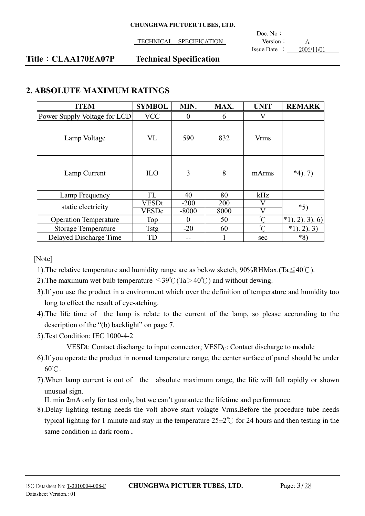TECHNICAL SPECIFICATION Version:

 $\overline{a}$ Doc. No: Issue Date :  $2006/11/01$ 

## **Title**: **CLAA170EA07P** Technical Specification

# **2. ABSOLUTE MAXIMUM RATINGS**

| <b>ITEM</b>                  | <b>SYMBOL</b> | MIN.              | MAX. | <b>UNIT</b>            | <b>REMARK</b>     |
|------------------------------|---------------|-------------------|------|------------------------|-------------------|
| Power Supply Voltage for LCD | <b>VCC</b>    | $\theta$          | 6    | V                      |                   |
| Lamp Voltage                 | VL            | 590               | 832  | <b>V<sub>rms</sub></b> |                   |
| Lamp Current                 | <b>ILO</b>    | 3                 | 8    | mArms                  | $*4$ ). 7)        |
| Lamp Frequency               | <b>FL</b>     | 40                | 80   | kHz                    |                   |
| static electricity           | <b>VESDt</b>  | $-200$            | 200  |                        | $*5)$             |
|                              | <b>VESDc</b>  | $-8000$           | 8000 |                        |                   |
| <b>Operation Temperature</b> | Top           | $\mathbf{\Omega}$ | 50   | $^{\circ}C$            | $*1$ , 2), 3), 6) |
| <b>Storage Temperature</b>   | <b>Tstg</b>   | $-20$             | 60   | $\hat{C}$              | *1<br>$2)$ . 3)   |
| Delayed Discharge Time       | TD            | --                |      | sec                    | $*8)$             |

[Note]

- 1). The relative temperature and humidity range are as below sketch,  $90\%RHMax.(Ta \leq 40^{\circ}C)$ .
- 2). The maximum wet bulb temperature  $\leq 39^{\circ}$  (Ta > 40°C) and without dewing.
- 3).If you use the product in a environment which over the definition of temperature and humidity too long to effect the result of eye-atching.
- 4).The life time of the lamp is relate to the current of the lamp, so please accronding to the description of the "(b) backlight" on page 7.
- 5).Test Condition: IEC 1000-4-2

VESDt: Contact discharge to input connector:  $VESD<sub>C</sub>$ : Contact discharge to module

- 6).If you operate the product in normal temperature range, the center surface of panel should be under  $60^{\circ}$ C.
- 7).When lamp current is out of the absolute maximum range, the life will fall rapidly or shown unusual sign.

IL min **2**mA only for test only, but we can't guarantee the lifetime and performance.

8).Delay lighting testing needs the volt above start volagte Vrms**.**Before the procedure tube needs typical lighting for 1 minute and stay in the temperature  $25\pm2\degree$  for 24 hours and then testing in the same condition in dark room **.**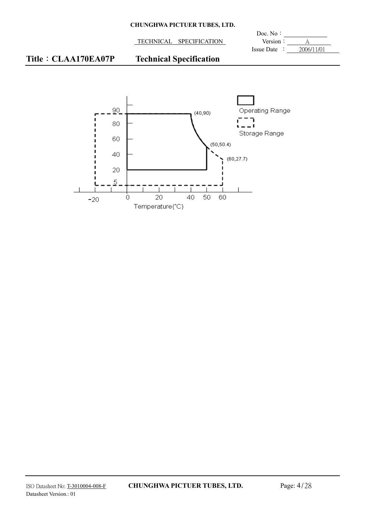TECHNICAL SPECIFICATION Version : A

 $\overline{a}$ Doc. No: Issue Date :  $2006/11/01$ 

# **Title**: **CLAA170EA07P** Technical Specification

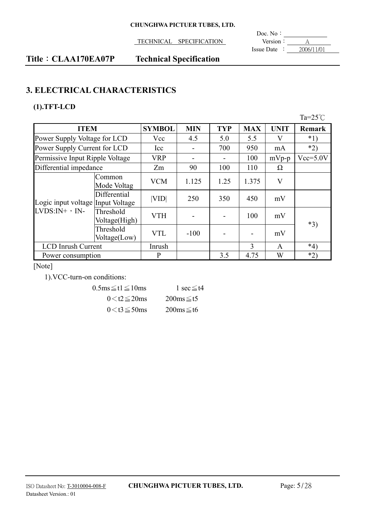**TECHNICAL SPECIFICATION** 

 $\frac{\text{Doc. No :}}{\text{Version :}}$ Issue Date  $\cdot$   $\overline{\hspace{1cm}}$   $\overline{\hspace{1cm}}$  2006/11/01

# **Title**: CLAA170EA07P Technical Specification

# **3. ELECTRICAL CHARACTERISTICS**

# **(1).TFT-LCD**

|                                                       |                            |               |            |            |            |             | Ta= $25^{\circ}$ C |
|-------------------------------------------------------|----------------------------|---------------|------------|------------|------------|-------------|--------------------|
| <b>ITEM</b>                                           |                            | <b>SYMBOL</b> | <b>MIN</b> | <b>TYP</b> | <b>MAX</b> | <b>UNIT</b> | <b>Remark</b>      |
| Power Supply Voltage for LCD                          |                            | Vcc           | 4.5        | 5.0        | 5.5        | V           | $*1)$              |
| Power Supply Current for LCD                          |                            | Icc           |            | 700        | 950        | mA          | $*2)$              |
| Permissive Input Ripple Voltage                       |                            | <b>VRP</b>    |            |            | 100        | $mVp-p$     | $Vcc=5.0V$         |
| Differential impedance                                |                            | Zm            | 90         | 100        | 110        | Ω           |                    |
| Logic input voltage Input Voltage<br>$LVDS:N+$ , $N-$ | Common<br>Mode Voltag      | <b>VCM</b>    | 1.125      | 1.25       | 1.375      | V           |                    |
|                                                       | Differential               | VID           | 250        | 350        | 450        | mV          |                    |
|                                                       | Threshold<br>Voltage(High) | <b>VTH</b>    |            |            | 100        | mV          | $*3)$              |
|                                                       | Threshold<br>Voltage(Low)  | <b>VTL</b>    | $-100$     |            |            | mV          |                    |
| <b>LCD</b> Inrush Current                             |                            | Inrush        |            |            | 3          | A           | $*_{4}$            |
| Power consumption                                     |                            | P             |            | 3.5        | 4.75       | W           | $*2)$              |

[Note]

1).VCC-turn-on conditions:

| $0.5 \text{ms} \leq t1 \leq 10 \text{ms}$ | $\le$ sec $\le$ t4      |
|-------------------------------------------|-------------------------|
| $0 < t2 \leq 20$ ms                       | $200ms \leq t5$         |
| $0 < t3 \leq 50$ ms                       | $200 \text{ms} \leq t6$ |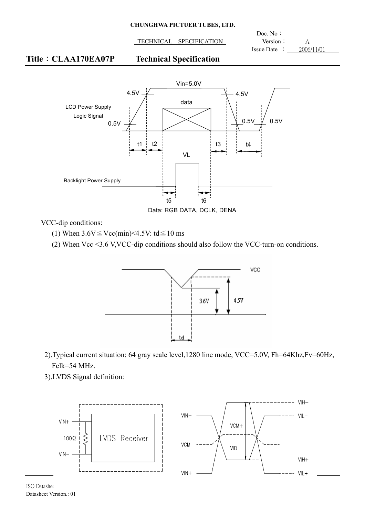TECHNICAL SPECIFICATION Version:

 $\overline{a}$ Doc. No: Issue Date :  $2006/11/01$ 

## **Title**: **CLAA170EA07P** Technical Specification



Data: RGB DATA, DCLK, DENA

VCC-dip conditions:

- (1) When  $3.6V \leq Vcc(min) < 4.5V$ : td $\leq 10$  ms
- (2) When Vcc <3.6 V,VCC-dip conditions should also follow the VCC-turn-on conditions.



- 2).Typical current situation: 64 gray scale level,1280 line mode, VCC=5.0V, Fh=64Khz,Fv=60Hz, Fclk=54 MHz.
- 3).LVDS Signal definition:



**ISO** Datashe∈ Datasheet Version.: 01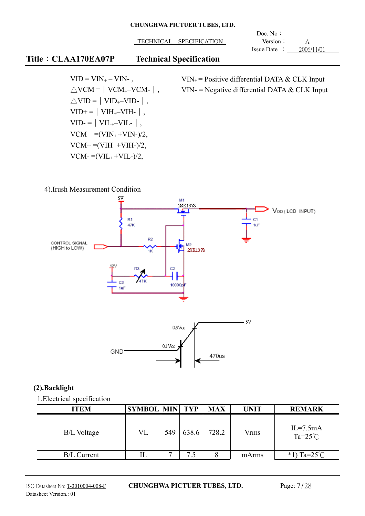TECHNICAL SPECIFICATION Version :

 $\overline{a}$ Doc. No: Issue Date : 2006/11/01

# **Title**: **CLAA170EA07P** Technical Specification

 $VID = VIN_{+} - VIN_{-}$ ,  $\triangle$ VCM =  $\vert$  VCM<sub>+</sub>–VCM- $\vert$ ,  $\triangle$ VID =  $\vert$  VID<sub>+</sub>–VID- $\vert$ ,  $VID+=|VIH_{+}-VIH_{-}|$ ,  $VID = |VIL_{+}-VIL_{-}|$ ,  $VCM = (VIN_+ + VIN_-)/2$ ,  $VCM+ = (VIH_{+} + VIH_{-})/2,$  $VCM = (VIL_{+} + VIL_{-})/2,$ 

 $VIN<sub>+</sub>$  = Positive differential DATA & CLK Input VIN- = Negative differential DATA  $& CLK$  Input

## 4).Irush Measurement Condition



## **(2).Backlight**

1.Electrical specification

| ITEM               | <b>SYMBOL MIN TYP</b> |     |       | <b>MAX</b> | <b>UNIT</b> | <b>REMARK</b>                    |
|--------------------|-----------------------|-----|-------|------------|-------------|----------------------------------|
| B/L Voltage        | VL                    | 549 | 638.6 | 728.2      | Vrms        | $IL=7.5mA$<br>Ta= $25^{\circ}$ C |
| <b>B/L Current</b> |                       |     | 7.5   |            | mArms       | $Ta=25^{\circ}C$<br>$*1$         |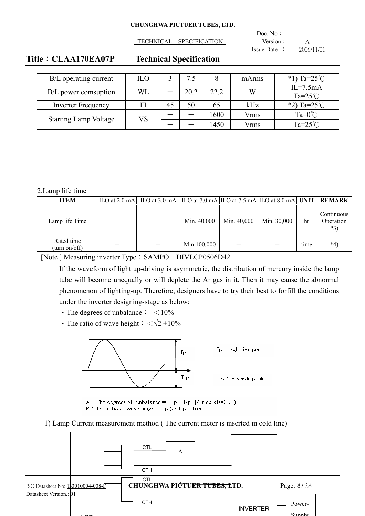TECHNICAL SPECIFICATION Version:

 $\overline{a}$ Doc. No: Issue Date :  $2006/11/01$ 

## **Title**: **CLAA170EA07P** Technical Specification

| B/L operating current        | ILO       |    |      |      | mArms       | *1) Ta= $25^{\circ}$ C           |
|------------------------------|-----------|----|------|------|-------------|----------------------------------|
| B/L power comsuption         | <b>WL</b> |    | 20.2 | 22.2 | W           | $IL=7.5mA$<br>Ta= $25^{\circ}$ C |
| <b>Inverter Frequency</b>    | FI        | 45 | 50   | 65   | kHz         | *2) Ta= $25^{\circ}$ C           |
|                              | VS        |    |      | 1600 | <b>Vrms</b> | Ta= $0^{\circ}$ C                |
| <b>Starting Lamp Voltage</b> |           |    |      | 1450 | Vrms        | Ta= $25^{\circ}$ C               |

#### 2.Lamp life time

| <b>ITEM</b>                 | $ {\rm ILO at 2.0 mA} $ ILO at 3.0 mA $ {\rm ILO at 7.0 mA} $ ILO at 7.5 mA ILO at 8.0 mA UNIT |             |             |             |      | <b>REMARK</b>                    |
|-----------------------------|------------------------------------------------------------------------------------------------|-------------|-------------|-------------|------|----------------------------------|
| Lamp life Time              |                                                                                                | Min. 40,000 | Min. 40,000 | Min. 30,000 | hr   | Continuous<br>Operation<br>$*3)$ |
| Rated time<br>(turn on/off) |                                                                                                | Min.100,000 |             |             | time | $*_{4}$                          |

[Note ] Measuring inverter Type: SAMPO DIVLCP0506D42

If the waveform of light up-driving is asymmetric, the distribution of mercury inside the lamp tube will become unequally or will deplete the Ar gas in it. Then it may cause the abnormal phenomenon of lighting-up. Therefore, designers have to try their best to forfill the conditions under the inverter designing-stage as below:

- The degrees of unbalance  $\frac{1}{2}$  < 10%
- The ratio of wave height  $\frac{1}{2} < \sqrt{2} \pm 10\%$



Ip: high side peak

I-p : low side peak

A : The degrees of unbalance =  $|Ip - I-p| / |Irms \times 100 (\%)$ 

B: The ratio of wave height = Ip (or I-p) / Irms

1) Lamp Current measurement method ( The current meter is inserted in cold line)

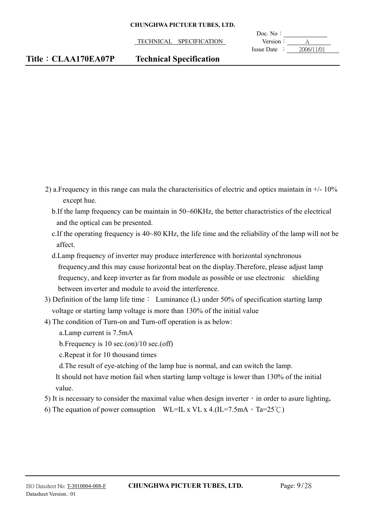TECHNICAL SPECIFICATION Version:

 $\overline{a}$ Doc. No: Issue Date  $\div$  2006/11/01

- 2) a. Frequency in this range can mala the characterisitics of electric and optics maintain in  $+/$  10% except hue.
	- b.If the lamp frequency can be maintain in 50~60KHz, the better charactristics of the electrical and the optical can be presented.
	- c.If the operating frequency is 40~80 KHz, the life time and the reliability of the lamp will not be affect.
	- d.Lamp frequency of inverter may produce interference with horizontal synchronous frequency,and this may cause horizontal beat on the display.Therefore, please adjust lamp frequency, and keep inverter as far from module as possible or use electronic shielding between inverter and module to avoid the interference.
- 3) Definition of the lamp life time  $\colon$  Luminance (L) under 50% of specification starting lamp voltage or starting lamp voltage is more than 130% of the initial value
- 4) The condition of Turn-on and Turn-off operation is as below:
	- a.Lamp current is 7.5mA
	- b.Frequency is 10 sec.(on)/10 sec.(off)
	- c.Repeat it for 10 thousand times
	- d.The result of eye-atching of the lamp hue is normal, and can switch the lamp.
	- It should not have motion fail when starting lamp voltage is lower than 130% of the initial value.
- 5) It is necessary to consider the maximal value when design inverter  $\cdot$  in order to asure lighting.
- 6) The equation of power comsuption WL=IL x VL x 4.(IL=7.5mA, Ta=25°C)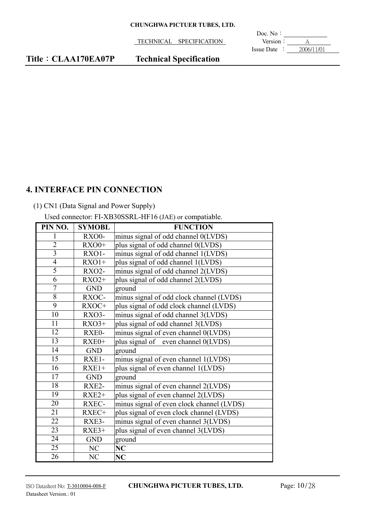TECHNICAL SPECIFICATION **Version**: <u>A</u>

 $\overline{a}$ Doc. No: Issue Date  $\frac{\sqrt{2006}}{11/01}$ 

# **4. INTERFACE PIN CONNECTION**

# (1) CN1 (Data Signal and Power Supply)

Used connector: FI-XB30SSRL-HF16 (JAE) or compatiable.

| PIN NO.         | <b>SYMOBL</b> | <b>FUNCTION</b>                           |
|-----------------|---------------|-------------------------------------------|
| L               | <b>RXO0-</b>  | minus signal of odd channel 0(LVDS)       |
| $\overline{2}$  | $RXO0+$       | plus signal of odd channel 0(LVDS)        |
| $\overline{3}$  | RXO1-         | minus signal of odd channel 1(LVDS)       |
| $\overline{4}$  | $RXO1+$       | plus signal of odd channel 1(LVDS)        |
| $\overline{5}$  | <b>RXO2-</b>  | minus signal of odd channel 2(LVDS)       |
| $\overline{6}$  | $RXO2+$       | plus signal of odd channel 2(LVDS)        |
| $\overline{7}$  | <b>GND</b>    | ground                                    |
| 8               | RXOC-         | minus signal of odd clock channel (LVDS)  |
| 9               | RXOC+         | plus signal of odd clock channel (LVDS)   |
| 10              | RXO3-         | minus signal of odd channel 3(LVDS)       |
| 11              | $RXO3+$       | plus signal of odd channel 3(LVDS)        |
| 12              | RXE0-         | minus signal of even channel 0(LVDS)      |
| 13              | $RXE0+$       | plus signal of even channel 0(LVDS)       |
| 14              | <b>GND</b>    | ground                                    |
| 15              | RXE1-         | minus signal of even channel 1(LVDS)      |
| 16              | $RXE1+$       | plus signal of even channel 1(LVDS)       |
| 17              | <b>GND</b>    | ground                                    |
| 18              | RXE2-         | minus signal of even channel 2(LVDS)      |
| 19              | $RXE2+$       | plus signal of even channel 2(LVDS)       |
| 20              | RXEC-         | minus signal of even clock channel (LVDS) |
| 21              | RXEC+         | plus signal of even clock channel (LVDS)  |
| 22              | RXE3-         | minus signal of even channel 3(LVDS)      |
| 23              | $RXE3+$       | plus signal of even channel 3(LVDS)       |
| 24              | <b>GND</b>    | ground                                    |
| $\overline{25}$ | NC            | NC                                        |
| 26              | NC            | NC                                        |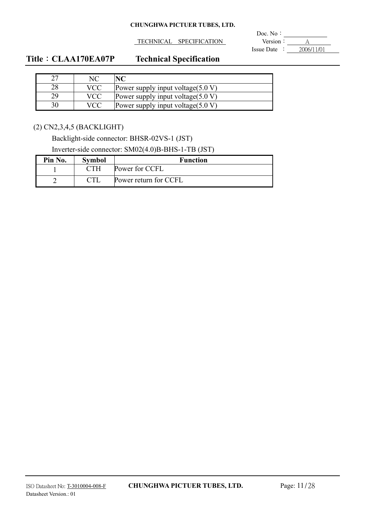TECHNICAL SPECIFICATION Version : A

 $\overline{a}$ Doc. No: Issue Date : 2006/11/01

# **Title**: CLAA170EA07P Technical Specification

|    | <b>VCC</b> | Power supply input voltage $(5.0 V)$ |
|----|------------|--------------------------------------|
| 29 | VCC        | Power supply input voltage $(5.0 V)$ |
|    |            | Power supply input voltage $(5.0 V)$ |

(2) CN2,3,4,5 (BACKLIGHT)

Backlight-side connector: BHSR-02VS-1 (JST)

Inverter-side connector: SM02(4.0)B-BHS-1-TB (JST)

| Pin No. | <b>Symbol</b> | <b>Function</b>       |
|---------|---------------|-----------------------|
|         |               | Power for CCFL        |
|         |               | Power return for CCFL |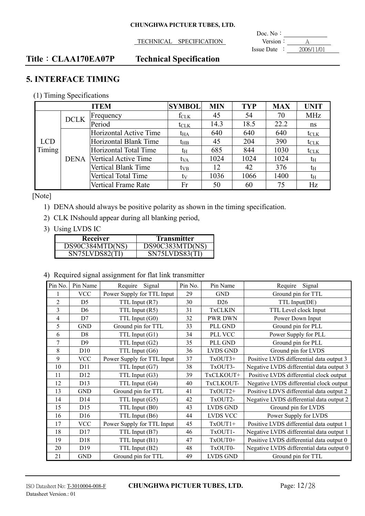TECHNICAL SPECIFICATION Version : A

 $\overline{a}$ Doc. No: Issue Date :  $2006/11/01$ 

## **Title**: **CLAA170EA07P** Technical Specification

# **5. INTERFACE TIMING**

(1) Timing Specifications

|        | <b>SYMBOL</b><br><b>ITEM</b> |                        |                  | <b>MIN</b> | <b>TYP</b> | <b>MAX</b> | <b>UNIT</b>      |
|--------|------------------------------|------------------------|------------------|------------|------------|------------|------------------|
|        | <b>DCLK</b>                  | $F$ requency           | $f_{CLK}$        | 45         | 54         | 70         | <b>MHz</b>       |
|        |                              | Period                 | $t_{\text{CLK}}$ | 14.3       | 18.5       | 22.2       | ns               |
|        |                              | Horizontal Active Time | t <sub>HA</sub>  | 640        | 640        | 640        | $t_{\text{CLK}}$ |
| LCD    |                              | Horizontal Blank Time  | $t_{HB}$         | 45         | 204        | 390        | $t_{\text{CLK}}$ |
| Timing |                              | Horizontal Total Time  | tн               | 685        | 844        | 1030       | $t_{\text{CLK}}$ |
|        | <b>DENA</b>                  | Vertical Active Time   | t <sub>VA</sub>  | 1024       | 1024       | 1024       | $t_{\rm H}$      |
|        |                              | Vertical Blank Time    | $t_{VB}$         | 12         | 42         | 376        | t <sub>H</sub>   |
|        |                              | Vertical Total Time    | tv               | 1036       | 1066       | 1400       | $t_{\rm H}$      |
|        |                              | Vertical Frame Rate    | Fr               | 50         | 60         | 75         | Hz               |

[Note]

- 1) DENA should always be positive polarity as shown in the timing specification.
- 2) CLK INshould appear during all blanking period,
- 3) Using LVDS IC

| Receiver        | Transmitter     |
|-----------------|-----------------|
| DS90C384MTD(NS) | DS90C383MTD(NS) |
| SN75LVDS82(TF   | SN75LVDS83(TI)  |

4) Required signal assignment for flat link transmitter

| Pin No.        | Pin Name        | Require<br>Signal          | Pin No. | Pin Name        | Signal<br>Require                        |
|----------------|-----------------|----------------------------|---------|-----------------|------------------------------------------|
|                | <b>VCC</b>      | Power Supply for TTL Input | 29      | <b>GND</b>      | Ground pin for TTL                       |
| $\overline{2}$ | D <sub>5</sub>  | TTL Input (R7)             | 30      | D26             | TTL Input(DE)                            |
| 3              | D <sub>6</sub>  | TTL Input (R5)             | 31      | <b>TxCLKIN</b>  | TTL Level clock Input                    |
| 4              | D7              | TTL Input (G0)             | 32      | <b>PWR DWN</b>  | Power Down Input                         |
| 5              | <b>GND</b>      | Ground pin for TTL         | 33      | PLL GND         | Ground pin for PLL                       |
| 6              | D <sub>8</sub>  | TTL Input (G1)             | 34      | PLL VCC         | Power Supply for PLL                     |
| 7              | D <sub>9</sub>  | TTL Input (G2)             | 35      | PLL GND         | Ground pin for PLL                       |
| 8              | D10             | TTL Input (G6)             | 36      | <b>LVDS GND</b> | Ground pin for LVDS                      |
| 9              | <b>VCC</b>      | Power Supply for TTL Input | 37      | TxOUT3+         | Positive LVDS differential data output 3 |
| 10             | D11             | TTL Input (G7)             | 38      | TxOUT3-         | Negative LVDS differential data output 3 |
| 11             | D <sub>12</sub> | TTL Input (G3)             | 39      | TxCLKOUT+       | Positive LVDS differential clock output  |
| 12             | D <sub>13</sub> | TTL Input (G4)             | 40      | TxCLKOUT-       | Negative LVDS differential clock output  |
| 13             | <b>GND</b>      | Ground pin for TTL         | 41      | TxOUT2+         | Positive LDVS differential data output 2 |
| 14             | D14             | TTL Input (G5)             | 42      | TxOUT2-         | Negative LVDS differential data output 2 |
| 15             | D15             | TTL Input (B0)             | 43      | <b>LVDS GND</b> | Ground pin for LVDS                      |
| 16             | D <sub>16</sub> | TTL Input (B6)             | 44      | LVDS VCC        | Power Supply for LVDS                    |
| 17             | <b>VCC</b>      | Power Supply for TTL Input | 45      | TxOUT1+         | Positive LVDS differential data output 1 |
| 18             | D17             | TTL Input (B7)             | 46      | TxOUT1-         | Negative LVDS differential data output 1 |
| 19             | D <sub>18</sub> | TTL Input (B1)             | 47      | TxOUT0+         | Positive LVDS differential data output 0 |
| 20             | D <sub>19</sub> | TTL Input (B2)             | 48      | TxOUT0-         | Negative LVDS differential data output 0 |
| 21             | <b>GND</b>      | Ground pin for TTL         | 49      | <b>LVDS GND</b> | Ground pin for TTL                       |

### ISO Datasheet No: T-3010004-008-F **CHUNGHWA PICTUER TUBES, LTD.** Page: 12/28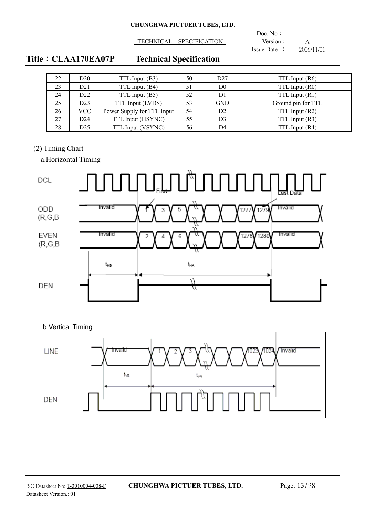TECHNICAL SPECIFICATION Version A

 $\overline{a}$ Doc. No: Issue Date :  $2006/11/01$ 

# **Title**: CLAA170EA07P Technical Specification

| 22 | D <sub>20</sub> | TTL Input (B3)             | 50 | D27            | TTL Input (R6)     |
|----|-----------------|----------------------------|----|----------------|--------------------|
| 23 | D21             | TTL Input (B4)             | 51 | D <sub>0</sub> | TTL Input (R0)     |
| 24 | D22             | TTL Input (B5)             | 52 | D1             | TTL Input $(R1)$   |
| 25 | D23             | TTL Input (LVDS)           | 53 | <b>GND</b>     | Ground pin for TTL |
| 26 | VCC             | Power Supply for TTL Input | 54 | D <sub>2</sub> | TTL Input (R2)     |
| 27 | D24             | TTL Input (HSYNC)          | 55 | D3             | TTL Input (R3)     |
| 28 | D <sub>25</sub> | TTL Input (VSYNC)          | 56 | D4             | TTL Input (R4)     |

## (2) Timing Chart

a.Horizontal Timing



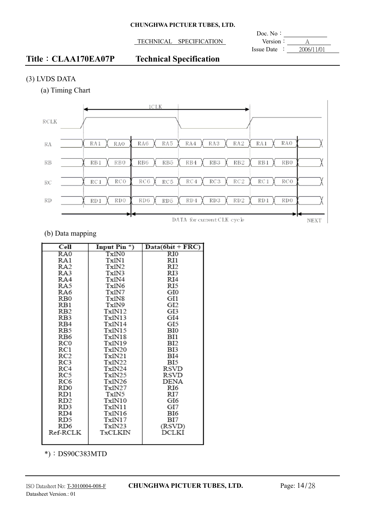TECHNICAL SPECIFICATION Version : A

 $\overline{a}$ Doc. No: Issue Date :  $2006/11/01$ 

# **Title**: **CLAA170EA07P** Technical Specification

## (3) LVDS DATA

(a) Timing Chart



## (b) Data mapping

| Cell            | Input Pin $*$ ) | $Data(6bit + FRC)$ |
|-----------------|-----------------|--------------------|
| RA0             | Tx1N0           | $_{\rm RIO}$       |
| RA1             | Tx1N1           | RI1                |
| RA2             | Tx1N2           | RI2                |
| RA3             | Tx1N3           | RI3                |
| RA4             | Tx1N4           | RI4                |
| RA5             | Tx1N6           | RI5                |
| RA6             | Tx1N7           | GI0                |
| RB0             | Tx1N8           | GI1                |
| RB1             | Tx1N9           | GI2                |
| RB <sub>2</sub> | Tx1N12          | GI3                |
| RB3             | Tx1N13          | GI4                |
| RB4             | Tx1N14          | GI5                |
| RB5             | Tx1N15          | BЮ                 |
| RB6             | Tx1N18          | BI1                |
| RC0             | Tx1N19          | BI2                |
| RC1             | Tx1N20          | BI3                |
| RC2             | Tx1N21          | BI4                |
| RC3             | Tx1N22          | BI5                |
| RC4             | Tx1N24          | RSVD               |
| RC5             | Tx1N25          | RSVD               |
| RC6             | Tx1N26          | DENA               |
| RD0             | Tx1N27          | RI6                |
| RD1             | Tx1N5           | RI7                |
| RD2             | Tx1N10          | GI6                |
| RD3             | Tx1N11          | GI7                |
| RD4             | Tx1N16          | BI6                |
| RD5             | Tx1N17          | BI7                |
| RD6             | Tx1N23          | (RSVD)             |
| Ref-RCLK        | TxCLKIN         | DCLKI              |
|                 |                 |                    |

\*): DS90C383MTD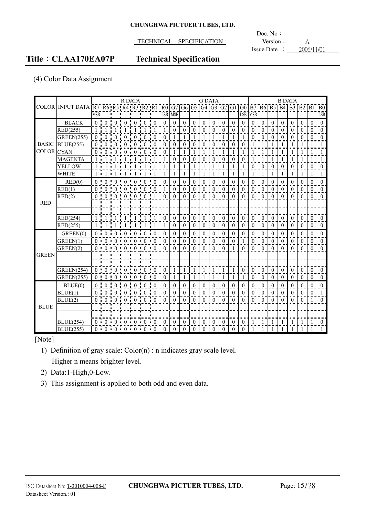TECHNICAL SPECIFICATION **Version**: <u>A</u>

 $\overline{a}$ Doc. No: Issue Date :  $2006/11/01$ 

# **Title**: **CLAA170EA07P** Technical Specification

## (4) Color Data Assignment

|                   |                         |                                                                         |                    |                 | R DATA                  |                |                                                     |           |              |          |              |                | <b>G DATA</b>    |                |                  |              |              |                  |                  |              |              | <b>B DATA</b> |                |              |                 |
|-------------------|-------------------------|-------------------------------------------------------------------------|--------------------|-----------------|-------------------------|----------------|-----------------------------------------------------|-----------|--------------|----------|--------------|----------------|------------------|----------------|------------------|--------------|--------------|------------------|------------------|--------------|--------------|---------------|----------------|--------------|-----------------|
|                   | <b>COLOR INPUT DATA</b> | R7 R6 R5 R4 R3 R2 R1 R0 G7 G6 G5 G4 G3 G2 G1 G0 B7 B6 B5 B4 B3 B2 B1 B0 |                    |                 |                         |                |                                                     |           |              |          |              |                |                  |                |                  |              |              |                  |                  |              |              |               |                |              |                 |
|                   |                         | <b>MSB</b>                                                              |                    |                 |                         |                |                                                     |           |              | LSB MSB  |              |                |                  |                |                  |              | <b>LSB</b>   | <b>MSB</b>       |                  |              |              |               |                |              | L <sub>SB</sub> |
|                   | <b>BLACK</b>            |                                                                         |                    |                 | $0 \t 0 \t 0 \t 0 \t 0$ |                | 0:                                                  |           | $\theta$     | $\theta$ | $\theta$     | $\theta$       | $\theta$         | $\theta$       | $\theta$         | $\theta$     | $\theta$     | $\theta$         | $\theta$         | $\theta$     | $\theta$     | $\theta$      | $\Omega$       | $\theta$     | $\theta$        |
|                   | RED(255)                | $1 \nmid 1$                                                             |                    | $\mathbf{1}$    | $\overline{1}$          | $\overline{1}$ |                                                     |           |              | $\theta$ | $\mathbf{0}$ | $\theta$       | $\mathbf{0}$     | $\overline{0}$ | $\boldsymbol{0}$ | $\theta$     | $\mathbf{0}$ | $\boldsymbol{0}$ | $\boldsymbol{0}$ | $\theta$     | $\theta$     | $\theta$      | $\overline{0}$ | $\theta$     | $\mathbf{0}$    |
|                   | <b>GREEN(255)</b>       | $\overline{0}$ .                                                        |                    |                 |                         |                |                                                     |           | $\theta$     |          |              |                | $\mathbf{1}$     |                |                  |              |              | $\theta$         | $\Omega$         | $\theta$     | $\theta$     | $\theta$      | $\theta$       | $\theta$     | $\mathbf{0}$    |
| <b>BASIC</b>      | <b>BLUE(255)</b>        | 0.10                                                                    |                    | $\theta$        | $\Omega$                | $\Omega$       | $\Omega$                                            |           | $\Omega$     | $\theta$ | $\theta$     | $\theta$       | $\theta$         | $\theta$       | $\mathbf{0}$     | $\theta$     | $\theta$     | $\mathbf{1}$     |                  |              | 1            | 1             | $\mathbf{1}$   | 1            | $\mathbf{1}$    |
| <b>COLOR</b> CYAN |                         |                                                                         | $0 \t 0 \t 0 \t 0$ |                 |                         | $\cdot$ 0      | $\mathbf{0}$                                        |           | $\mathbf{0}$ |          | 1            |                | 1                |                | 1                |              |              |                  |                  |              |              |               | 1              |              |                 |
|                   | <b>MAGENTA</b>          | $1\cdot 1$                                                              |                    |                 |                         |                |                                                     |           |              | $\Omega$ | $\theta$     | $\theta$       | $\theta$         | $\Omega$       | $\mathbf{0}$     | $\Omega$     | $\theta$     |                  |                  |              |              |               |                |              | $\mathbf{1}$    |
|                   | <b>YELLOW</b>           |                                                                         | $1 \cdot 1$        |                 |                         |                |                                                     |           |              |          |              |                |                  |                |                  |              |              | $\theta$         | $\mathbf{0}$     | $\theta$     | $\theta$     | $\mathbf{0}$  | $\mathbf{0}$   | $\mathbf{0}$ | $\mathbf{0}$    |
|                   | <b>WHITE</b>            |                                                                         |                    |                 |                         |                | 1:1:1:1:1:1:1:1                                     |           | 1            |          | $\mathbf{1}$ | $\overline{1}$ | 1                |                | 1                |              | $\mathbf{1}$ |                  | 1                |              | 1            | 1             | $\mathbf{1}$   | $\mathbf{1}$ | $\mathbf{1}$    |
|                   | RED(0)                  |                                                                         |                    |                 |                         |                | 0:0:0:0:0:0:0:0                                     |           | $\theta$     | $\Omega$ | $\theta$     | $\Omega$       | $\mathbf{0}$     | $\theta$       | $\mathbf{0}$     | $\theta$     | $\mathbf{0}$ | $\theta$         | $\mathbf{0}$     | $\theta$     | $\theta$     | $\theta$      | $\mathbf{0}$   | $\theta$     | $\theta$        |
|                   | RED(1)                  | $0 \pm 0$                                                               |                    |                 |                         |                | : 0 : 0 : 0 : 0 : 0                                 |           | 1            | $\theta$ | $\theta$     | $\theta$       | $\theta$         | $\theta$       | $\mathbf{0}$     | $\theta$     | $\theta$     | $\theta$         | $\theta$         | $\theta$     | $\theta$     | $\theta$      | $\mathbf{0}$   | $\theta$     | $\theta$        |
|                   | RED(2)                  |                                                                         |                    |                 |                         |                | 0:0:0:0:0:0:1                                       |           | $\Omega$     | $\Omega$ | $\theta$     | $\Omega$       | $\Omega$         | $\theta$       | $\theta$         | $\Omega$     | $\Omega$     | $\theta$         | $\theta$         | $\Omega$     | $\Omega$     | $\Omega$      | $\theta$       | $\theta$     | $\theta$        |
| <b>RED</b>        |                         |                                                                         |                    |                 |                         |                |                                                     |           |              |          |              |                |                  |                |                  |              |              |                  |                  |              |              |               |                |              |                 |
|                   |                         |                                                                         |                    |                 |                         |                |                                                     |           |              |          |              |                |                  |                |                  |              |              |                  |                  |              |              |               |                |              |                 |
|                   | RED(254)                | $1 \cdot 1$                                                             |                    | $\frac{1}{2}$ 1 | $\mathbf{1}$            | $\pm$ 1        | 1:                                                  |           | $\theta$     | $\Omega$ | $\theta$     | $\theta$       | $\theta$         | $\theta$       | $\theta$         | $\theta$     | $\theta$     | $\theta$         | $\theta$         | $\theta$     | $\theta$     | $\theta$      | $\theta$       | $\theta$     | $\theta$        |
|                   | RED(255)                |                                                                         |                    | $1 -$           | 1 i                     | 1 i            |                                                     |           |              | $\theta$ | $\mathbf{0}$ | $\mathbf{0}$   | $\mathbf{0}$     | $\mathbf{0}$   | $\mathbf{0}$     | $\mathbf{0}$ | $\mathbf{0}$ | $\overline{0}$   | $\mathbf{0}$     | $\mathbf{0}$ | $\mathbf{0}$ | $\mathbf{0}$  | $\overline{0}$ | $\mathbf{0}$ | $\theta$        |
|                   | GREEN(0)                |                                                                         |                    |                 |                         |                | $0 \t0 \t0 \t0 \t0 \t0 \t0 \t0$                     |           | $\theta$     | $\theta$ | $\theta$     | $\theta$       | $\theta$         | $\theta$       | $\mathbf{0}$     | $\theta$     | $\theta$     | $\theta$         | $\mathbf{0}$     | $\theta$     | $\theta$     | $\theta$      | $\Omega$       | $\theta$     | $\theta$        |
|                   | GREEN(1)                |                                                                         |                    |                 |                         |                | $0 \cdot 0 \cdot 0 \cdot 0 \cdot 0 \cdot 0 \cdot 0$ |           | $\Omega$     | $\theta$ | $\theta$     | $\theta$       | $\boldsymbol{0}$ | $\mathbf{0}$   | $\mathbf{0}$     | $\mathbf{0}$ | $\mathbf{1}$ | $\theta$         | $\mathbf{0}$     | $\theta$     | $\theta$     | $\mathbf{0}$  | $\mathbf{0}$   | $\theta$     | $\theta$        |
|                   | GREEN(2)                |                                                                         |                    |                 |                         |                | $0 \t 0 \t 0 \t 0 \t 0 \t 0 \t 0 \t 0$              |           | $\Omega$     | $\Omega$ | $\theta$     | $\theta$       | $\theta$         | $\theta$       | $\mathbf{0}$     |              | $\mathbf{0}$ | $\theta$         | $\theta$         | $\theta$     | $\theta$     | $\Omega$      | $\theta$       | $\theta$     | $\theta$        |
| <b>GREEN</b>      |                         |                                                                         |                    |                 |                         |                |                                                     |           |              |          |              |                |                  |                |                  |              |              |                  |                  |              |              |               |                |              |                 |
|                   |                         |                                                                         |                    |                 |                         |                |                                                     |           |              |          |              |                |                  |                |                  |              |              |                  |                  |              |              |               |                |              |                 |
|                   | <b>GREEN(254)</b>       |                                                                         |                    |                 |                         |                | 0:0:0:0:0:0:0:0                                     |           | $\theta$     |          | 1            |                | $\mathbf{1}$     |                | 1                |              | $\theta$     | $\theta$         | $\theta$         | $\theta$     | $\theta$     | $\theta$      | $\theta$       | $\theta$     | $\theta$        |
|                   | <b>GREEN(255)</b>       |                                                                         | $0 \cdot 0$        | $\theta$        | $\theta$                | $\theta$       | $\overline{0}$                                      | $\cdot$ 0 | $\theta$     |          | 1            | -1             | 1                |                | 1                |              | 1            | $\theta$         | $\theta$         | $\theta$     | $\theta$     | $\Omega$      | $\theta$       | $\theta$     | $\theta$        |
|                   | BLUE(0)                 | $0 \cdot 0$                                                             |                    | $\cdot$ 0       | $\overline{0}$          | $\theta$       | $\theta$                                            |           | $\theta$     | $\theta$ | $\theta$     | $\Omega$       | $\theta$         | $\theta$       | $\theta$         | $\Omega$     | $\theta$     | $\theta$         | $\mathbf{0}$     | $\Omega$     | $\Omega$     | $\theta$      | $\theta$       | $\theta$     | $\theta$        |
|                   | BLUE(1)                 |                                                                         |                    |                 | 0:0:0:0:0:0             |                | $\overline{0}$ :                                    | $\theta$  | $\mathbf{0}$ | $\theta$ | $\theta$     | $\theta$       | $\mathbf{0}$     | $\mathbf{0}$   | $\mathbf{0}$     | $\mathbf{0}$ | $\mathbf{0}$ | $\theta$         | $\mathbf{0}$     | $\theta$     | $\mathbf{0}$ | $\theta$      | $\mathbf{0}$   | $\mathbf{0}$ | $\mathbf{1}$    |
|                   | BLUE(2)                 |                                                                         |                    |                 | 0:0:0:0:0:0             |                |                                                     |           | $\theta$     | $\Omega$ | $\theta$     | $\theta$       | $\theta$         | $\theta$       | $\theta$         | $\theta$     | $\theta$     | $\theta$         | $\theta$         | $\theta$     | $\theta$     | $\theta$      | $\theta$       |              | $\theta$        |
| <b>BLUE</b>       |                         |                                                                         |                    |                 |                         |                |                                                     |           |              |          |              |                |                  |                |                  |              |              |                  |                  |              |              |               |                |              |                 |
|                   |                         |                                                                         |                    |                 |                         |                |                                                     |           |              |          |              |                |                  |                |                  |              |              |                  |                  |              |              |               |                |              |                 |
|                   | <b>BLUE(254)</b>        |                                                                         |                    |                 |                         |                | $0 \cdot 0 \cdot 0 \cdot 0 \cdot 0 \cdot 0 \cdot 0$ |           | $\theta$     | $\theta$ | $\theta$     | $\theta$       | $\mathbf{0}$     | $\Omega$       | $\mathbf{0}$     | $\theta$     | $\theta$     |                  |                  |              |              | -1            | 1              | -1           | $\theta$        |
|                   | <b>BLUE(255)</b>        |                                                                         |                    |                 |                         |                | 0.0000000000000                                     |           | $\Omega$     | $\Omega$ | $\theta$     | $\theta$       | $\theta$         | $\Omega$       | $\theta$         | $\theta$     | $\theta$     |                  |                  |              |              |               |                |              |                 |

## [Note]

- 1) Definition of gray scale: Color(n) : n indicates gray scale level. Higher n means brighter level.
- 2) Data:1-High,0-Low.
- 3) This assignment is applied to both odd and even data.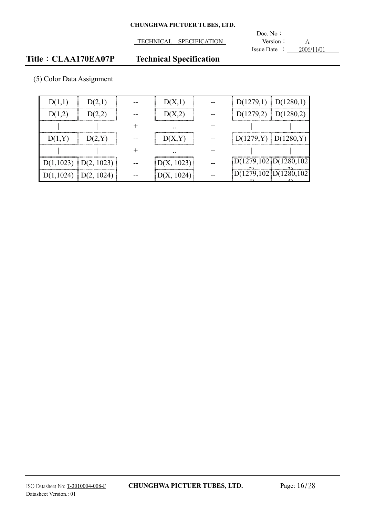**TECHNICAL SPECIFICATION** 

**Doc.** No: Version  $\overline{\frac{A}{1 \cdot 2006/11/01}}$ 

# **Title**: **CLAA170EA07P** Technical Specification

|  | (5) Color Data Assignment |
|--|---------------------------|
|--|---------------------------|

|                          |  |                 | $D(1279,1)$ $D(1280,1)$   |                           |
|--------------------------|--|-----------------|---------------------------|---------------------------|
|                          |  |                 | $D(1279,2)$   $D(1280,2)$ |                           |
|                          |  | $\cdot$ $\cdot$ |                           |                           |
|                          |  |                 |                           | $D(1279, Y)$ $D(1280, Y)$ |
|                          |  |                 |                           |                           |
| $D(1,1023)$ $D(2, 1023)$ |  | D(X, 1023)      | D(1279, 102)D(1280, 102)  |                           |
|                          |  |                 |                           | 1279, 102 D(1280, 1       |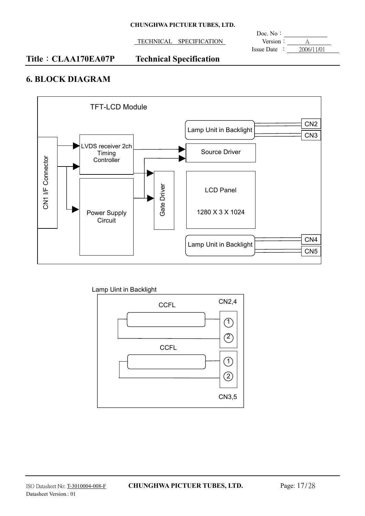TECHNICAL SPECIFICATION **Version**: <u>A</u>

 $\overline{a}$ Doc. No: Issue Date : 2006/11/01

## **Title**: **CLAA170EA07P** Technical Specification

# **6. BLOCK DIAGRAM**



Lamp Uint in Backlight

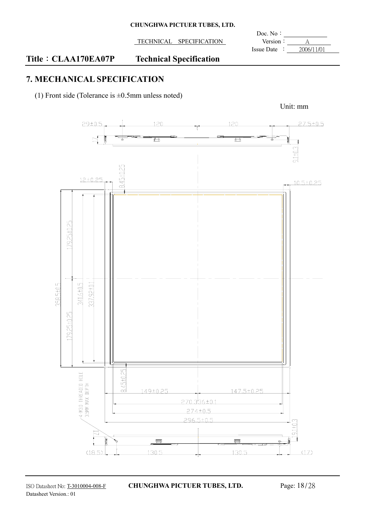| <b>CHUNGHWA PICTUER TUBES, LTD.</b> |  |  |  |
|-------------------------------------|--|--|--|
|-------------------------------------|--|--|--|

**TECHNICAL SPECIFICATION** Version:

 $\overline{a}$ Doc. No: Issue Date :  $2006/11/01$ 

# **Title**: CLAA170EA07P Technical Specification

# **7. MECHANICAL SPECIFICATION**

(1) Front side (Tolerance is  $\pm 0.5$ mm unless noted)



Unit: mm

ISO Datasheet No: T-3010004-008-F **CHUNGHWA PICTUER TUBES, LTD.** Page: 18/28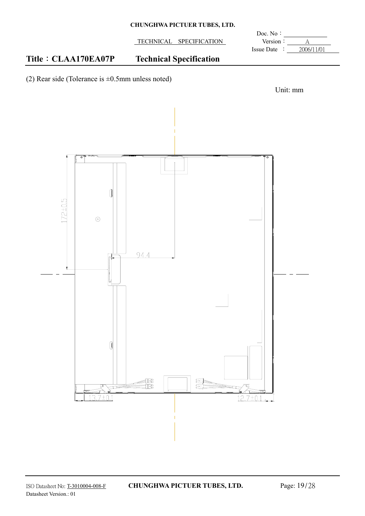TECHNICAL SPECIFICATION Version : A

 $\overline{a}$ Doc. No: Issue Date : 2006/11/01

# **Title**: CLAA170EA07P Technical Specification

(2) Rear side (Tolerance is  $\pm 0.5$ mm unless noted)

![](_page_18_Figure_6.jpeg)

![](_page_18_Figure_7.jpeg)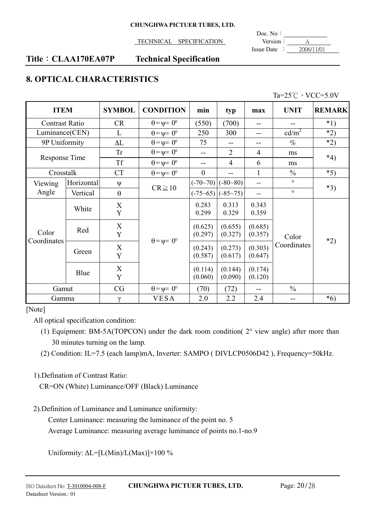### TECHNICAL SPECIFICATION **Version**: A

 $\overline{a}$ Doc. No: Issue Date :  $2006/11/01$ 

## **Title**: **CLAA170EA07P** Technical Specification

# **8. OPTICAL CHARACTERISTICS**

|  | Ta= $25^{\circ}$ C $\cdot$ VCC=5.0V |
|--|-------------------------------------|
|  |                                     |

|                       | <b>ITEM</b><br><b>SYMBOL</b> |                       | <b>CONDITION</b>            | min                | typ                | max                | <b>UNIT</b>       | <b>REMARK</b> |
|-----------------------|------------------------------|-----------------------|-----------------------------|--------------------|--------------------|--------------------|-------------------|---------------|
| <b>Contrast Ratio</b> |                              | <b>CR</b>             | $\theta = \psi = 0^{\circ}$ | (550)              | (700)              | --                 |                   | $*1)$         |
|                       | Luminance(CEN)<br>L          |                       | $\theta = \psi = 0^{\circ}$ | 250                | 300                |                    | cd/m <sup>2</sup> | $*2)$         |
| 9P Uniformity         |                              | $\Delta L$            | $\theta = \psi = 0^{\circ}$ | 75                 | --                 | $- -$              | $\%$              | $*2)$         |
|                       |                              | Tr                    | $\theta = \psi = 0^{\circ}$ | --                 | $\overline{2}$     | $\overline{4}$     | ms                | $*4)$         |
| Response Time         |                              | <b>Tf</b>             | $\theta = \psi = 0^{\circ}$ | $- -$              | 4                  | 6                  | ms                |               |
| Crosstalk             |                              | <b>CT</b>             | $\theta = \psi = 0^{\circ}$ | $\theta$           | --                 | 1                  | $\frac{0}{0}$     | $*5)$         |
| Viewing               | Horizontal                   | $\Psi$                |                             | $(-70-70)$         | $(-80 - 80)$       |                    | $\circ$           |               |
| Angle                 | Vertical                     | $\theta$              | $CR \geq 10$                | $(-75-65)$         | $(-85-75)$         |                    | $\circ$           | $*3)$         |
|                       | White                        | $\boldsymbol{X}$<br>Y |                             | 0.283<br>0.299     | 0.313<br>0.329     | 0.343<br>0.359     |                   |               |
| Color                 | X<br>Red<br>Y                |                       | $\theta = \psi = 0^{\circ}$ | (0.625)<br>(0.297) | (0.655)<br>(0.327) | (0.685)<br>(0.357) | Color             |               |
| Coordinates           | X<br>Green<br>Y              |                       | (0.243)<br>(0.587)          | (0.273)<br>(0.617) | (0.303)<br>(0.647) | Coordinates        | $*2)$             |               |
|                       | Blue                         | X<br>Y                |                             | (0.114)<br>(0.060) | (0.144)<br>(0.090) | (0.174)<br>(0.120) |                   |               |
| Gamut                 |                              | CG                    | $\theta = \psi = 0^{\circ}$ | (70)               | (72)               |                    | $\frac{0}{0}$     |               |
| Gamma                 |                              | $\gamma$              | <b>VESA</b>                 | 2.0                | 2.2                | 2.4                | --                | $*6)$         |

[Note]

All optical specification condition:

1).Defination of Contrast Ratio:

CR=ON (White) Luminance/OFF (Black) Luminance

2).Definition of Luminance and Luminance uniformity:

Center Luminance: measuring the luminance of the point no. 5

Average Luminance: measuring average luminance of points no.1-no.9

Uniformity:  $\Delta L = [L(Min)/L(Max)] \times 100\%$ 

<sup>(1)</sup> Equipment: BM-5A(TOPCON) under the dark room condition( 2° view angle) after more than 30 minutes turning on the lamp.

<sup>(2)</sup> Condition: IL=7.5 (each lamp)mA, Inverter: SAMPO ( DIVLCP0506D42 ), Frequency=50kHz.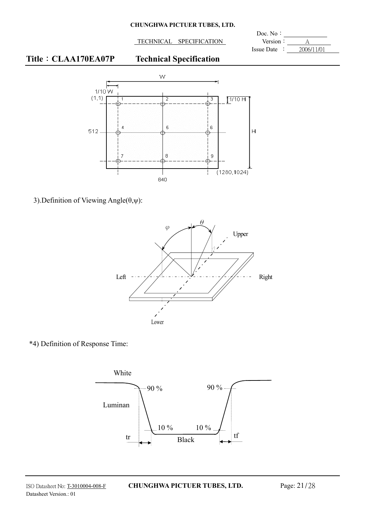TECHNICAL SPECIFICATION Version :

 $\overline{a}$ Doc. No: Issue Date :  $2006/11/01$ 

# **Title**: CLAA170EA07P Technical Specification

![](_page_20_Figure_5.jpeg)

3). Definition of Viewing Angle $(\theta, \psi)$ :

![](_page_20_Figure_7.jpeg)

\*4) Definition of Response Time:

![](_page_20_Figure_9.jpeg)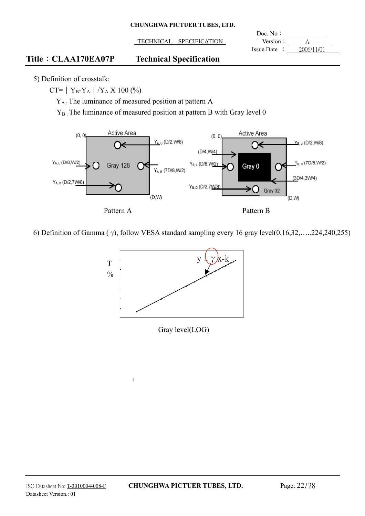**TECHNICAL SPECIFICATION** Version:

 $\overline{a}$ Doc. No: Issue Date :  $2006/11/01$ 

## **Title**: **CLAA170EA07P** Technical Specification

5) Definition of crosstalk:

 $CT= |Y_B-Y_A|/Y_A X 100 (%)$ 

YA : The luminance of measured position at pattern A

 $\frac{1}{2}$ 

 $Y_B$ . The luminance of measured position at pattern B with Gray level 0

![](_page_21_Figure_9.jpeg)

6) Definition of Gamma ( $\gamma$ ), follow VESA standard sampling every 16 gray level(0,16,32,.....224,240,255)

![](_page_21_Figure_11.jpeg)

Gray level(LOG)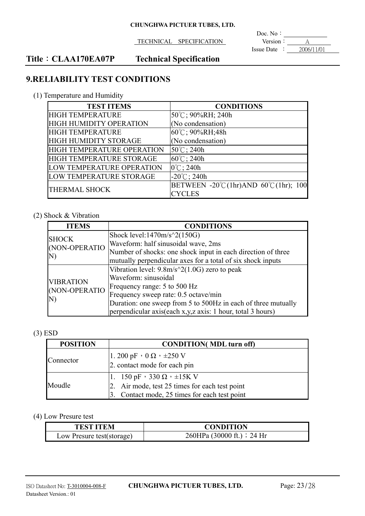TECHNICAL SPECIFICATION **Version CONTROL** 

 $\overline{a}$ Doc. No: Issue Date : 2006/11/01

# **Title**: CLAA170EA07P Technical Specification

# **9.RELIABILITY TEST CONDITIONS**

(1) Temperature and Humidity

| <b>TEST ITEMS</b>          | <b>CONDITIONS</b>                    |
|----------------------------|--------------------------------------|
| <b>HIGH TEMPERATURE</b>    | $ 50^{\circ}\text{C}$ ; 90%RH; 240h  |
| HIGH HUMIDITY OPERATION    | (No condensation)                    |
| <b>HIGH TEMPERATURE</b>    | $60^{\circ}$ C; 90%RH; 48h           |
| HIGH HUMIDITY STORAGE      | (No condensation)                    |
| HIGH TEMPERATURE OPERATION | $50^{\circ}$ C; 240h                 |
| HIGH TEMPERATURE STORAGE   | $60^{\circ}$ C; 240h                 |
| LOW TEMPERATURE OPERATION  | $0^{\circ}$ C; 240h                  |
| LOW TEMPERATURE STORAGE    | $-20^{\circ}$ C; 240h                |
| <b>THERMAL SHOCK</b>       | BETWEEN -20°C(1hr)AND 60°C(1hr); 100 |
|                            | <b>CYCLES</b>                        |

## (2) Shock & Vibration

| <b>ITEMS</b>                            | <b>CONDITIONS</b>                                             |
|-----------------------------------------|---------------------------------------------------------------|
| <b>SHOCK</b><br>(NON-OPERATIO<br>N)     | Shock level: $1470m/s^2(150G)$                                |
|                                         | Waveform: half sinusoidal wave, 2ms                           |
|                                         | Number of shocks: one shock input in each direction of three  |
|                                         | mutually perpendicular axes for a total of six shock inputs   |
| <b>VIBRATION</b><br>(NON-OPERATIO<br>N) | Vibration level: $9.8m/s^2(1.0G)$ zero to peak                |
|                                         | Waveform: sinusoidal                                          |
|                                         | Frequency range: 5 to 500 Hz                                  |
|                                         | Frequency sweep rate: 0.5 octave/min                          |
|                                         | Duration: one sweep from 5 to 500Hz in each of three mutually |
|                                         | perpendicular axis(each x, y, z axis: 1 hour, total 3 hours)  |

## (3) ESD

| <b>POSITION</b> | <b>CONDITION</b> (MDL turn off)                    |  |  |
|-----------------|----------------------------------------------------|--|--|
| Connector       | 1.200 pF $\cdot$ 0 $\Omega$ $\cdot$ $\pm$ 250 V    |  |  |
|                 | 2. contact mode for each pin                       |  |  |
| Moudle          | 1. 150 pF $\cdot$ 330 $\Omega$ $\cdot$ $\pm$ 15K V |  |  |
|                 | 2. Air mode, test 25 times for each test point     |  |  |
|                 | 3. Contact mode, 25 times for each test point      |  |  |

### (4) Low Presure test

| <b>TEST ITEM</b>          | <b>CONDITION</b>           |
|---------------------------|----------------------------|
| Low Presure test(storage) | 260HPa (30000 ft.) : 24 Hr |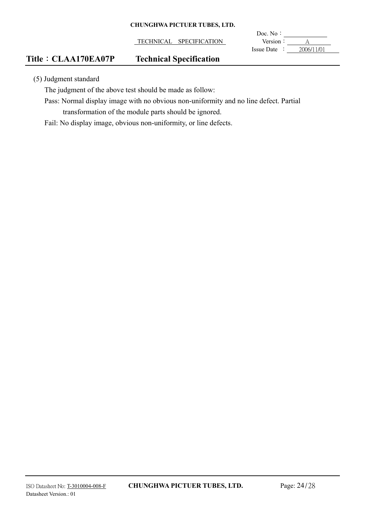TECHNICAL SPECIFICATION **Version**: A

 $\overline{a}$ Doc. No: Issue Date :  $2006/11/01$ 

# **Title**: **CLAA170EA07P** Technical Specification

(5) Judgment standard

The judgment of the above test should be made as follow:

Pass: Normal display image with no obvious non-uniformity and no line defect. Partial transformation of the module parts should be ignored.

Fail: No display image, obvious non-uniformity, or line defects.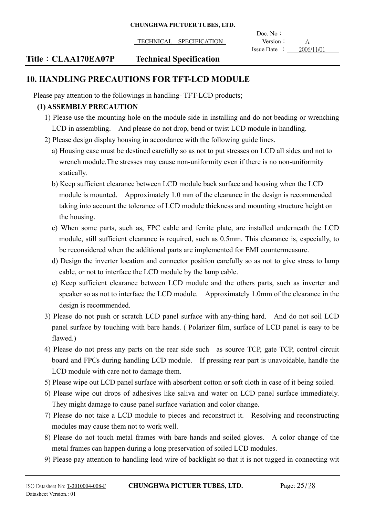|                                   | Doc. $No:$                      |
|-----------------------------------|---------------------------------|
| TECHNICAL<br><b>SPECIFICATION</b> | Version.                        |
|                                   | 2006/11/01<br><b>Issue Date</b> |

## **Title**: **CLAA170EA07P** Technical Specification

# **10. HANDLING PRECAUTIONS FOR TFT-LCD MODULE**

Please pay attention to the followings in handling- TFT-LCD products;

## **(1) ASSEMBLY PRECAUTION**

- 1) Please use the mounting hole on the module side in installing and do not beading or wrenching LCD in assembling. And please do not drop, bend or twist LCD module in handling.
- 2) Please design display housing in accordance with the following guide lines.
	- a) Housing case must be destined carefully so as not to put stresses on LCD all sides and not to wrench module.The stresses may cause non-uniformity even if there is no non-uniformity statically.
	- b) Keep sufficient clearance between LCD module back surface and housing when the LCD module is mounted. Approximately 1.0 mm of the clearance in the design is recommended taking into account the tolerance of LCD module thickness and mounting structure height on the housing.
	- c) When some parts, such as, FPC cable and ferrite plate, are installed underneath the LCD module, still sufficient clearance is required, such as 0.5mm. This clearance is, especially, to be reconsidered when the additional parts are implemented for EMI countermeasure.
	- d) Design the inverter location and connector position carefully so as not to give stress to lamp cable, or not to interface the LCD module by the lamp cable.
	- e) Keep sufficient clearance between LCD module and the others parts, such as inverter and speaker so as not to interface the LCD module. Approximately 1.0mm of the clearance in the design is recommended.
- 3) Please do not push or scratch LCD panel surface with any-thing hard. And do not soil LCD panel surface by touching with bare hands. ( Polarizer film, surface of LCD panel is easy to be flawed.)
- 4) Please do not press any parts on the rear side such as source TCP, gate TCP, control circuit board and FPCs during handling LCD module. If pressing rear part is unavoidable, handle the LCD module with care not to damage them.
- 5) Please wipe out LCD panel surface with absorbent cotton or soft cloth in case of it being soiled.
- 6) Please wipe out drops of adhesives like saliva and water on LCD panel surface immediately. They might damage to cause panel surface variation and color change.
- 7) Please do not take a LCD module to pieces and reconstruct it. Resolving and reconstructing modules may cause them not to work well.
- 8) Please do not touch metal frames with bare hands and soiled gloves. A color change of the metal frames can happen during a long preservation of soiled LCD modules.
- 9) Please pay attention to handling lead wire of backlight so that it is not tugged in connecting wit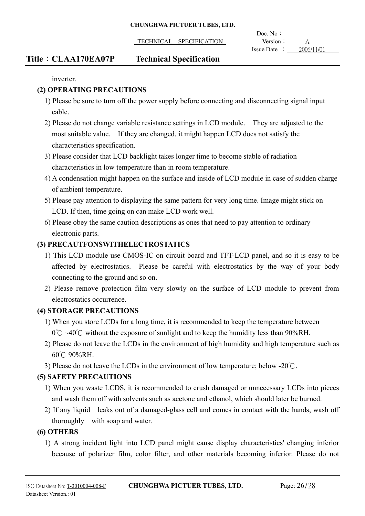TECHNICAL SPECIFICATION Version:

 $\overline{a}$ Doc. No: Issue Date :  $2006/11/01$ 

# **Title**: **CLAA170EA07P** Technical Specification

inverter.

## **(2) OPERATING PRECAUTIONS**

- 1) Please be sure to turn off the power supply before connecting and disconnecting signal input cable.
- 2) Please do not change variable resistance settings in LCD module. They are adjusted to the most suitable value. If they are changed, it might happen LCD does not satisfy the characteristics specification.
- 3) Please consider that LCD backlight takes longer time to become stable of radiation characteristics in low temperature than in room temperature.
- 4) A condensation might happen on the surface and inside of LCD module in case of sudden charge of ambient temperature.
- 5) Please pay attention to displaying the same pattern for very long time. Image might stick on LCD. If then, time going on can make LCD work well.
- 6) Please obey the same caution descriptions as ones that need to pay attention to ordinary electronic parts.

## **(3) PRECAUTFONSWITHELECTROSTATICS**

- 1) This LCD module use CMOS-IC on circuit board and TFT-LCD panel, and so it is easy to be affected by electrostatics. Please be careful with electrostatics by the way of your body connecting to the ground and so on.
- 2) Please remove protection film very slowly on the surface of LCD module to prevent from electrostatics occurrence.

## **(4) STORAGE PRECAUTIONS**

- 1) When you store LCDs for a long time, it is recommended to keep the temperature between  $0^{\circ}$   $\sim$  40 $^{\circ}$  without the exposure of sunlight and to keep the humidity less than 90%RH.
- 2) Please do not leave the LCDs in the environment of high humidity and high temperature such as 60°C 90%RH.
- 3) Please do not leave the LCDs in the environment of low temperature; below -20 $\degree$ C.

# **(5) SAFETY PRECAUTIONS**

- 1) When you waste LCDS, it is recommended to crush damaged or unnecessary LCDs into pieces and wash them off with solvents such as acetone and ethanol, which should later be burned.
- 2) If any liquid leaks out of a damaged-glass cell and comes in contact with the hands, wash off thoroughly with soap and water.

## **(6) OTHERS**

1) A strong incident light into LCD panel might cause display characteristics' changing inferior because of polarizer film, color filter, and other materials becoming inferior. Please do not